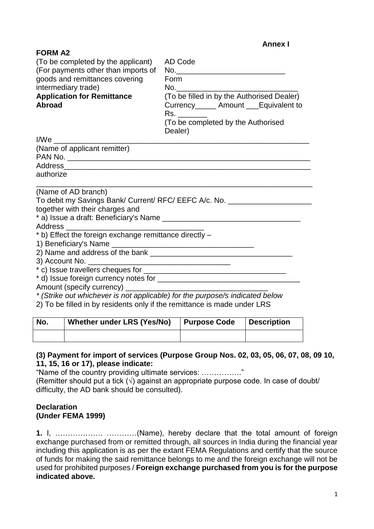|                                                                                                                                                                                                            | <b>Annex I</b>                                                                                                                                                  |  |  |
|------------------------------------------------------------------------------------------------------------------------------------------------------------------------------------------------------------|-----------------------------------------------------------------------------------------------------------------------------------------------------------------|--|--|
| <b>FORM A2</b><br>(To be completed by the applicant)<br>(For payments other than imports of<br>goods and remittances covering<br>intermediary trade)<br><b>Application for Remittance</b><br><b>Abroad</b> | AD Code<br>Form<br>(To be filled in by the Authorised Dealer)<br>Currency______ Amount ___Equivalent to<br>Rs.<br>(To be completed by the Authorised<br>Dealer) |  |  |
| I/We                                                                                                                                                                                                       |                                                                                                                                                                 |  |  |
| (Name of applicant remitter)                                                                                                                                                                               |                                                                                                                                                                 |  |  |
|                                                                                                                                                                                                            |                                                                                                                                                                 |  |  |
| authorize                                                                                                                                                                                                  |                                                                                                                                                                 |  |  |
|                                                                                                                                                                                                            |                                                                                                                                                                 |  |  |
| (Name of AD branch)                                                                                                                                                                                        |                                                                                                                                                                 |  |  |
|                                                                                                                                                                                                            | To debit my Savings Bank/ Current/ RFC/ EEFC A/c. No. __________________________                                                                                |  |  |
| together with their charges and                                                                                                                                                                            |                                                                                                                                                                 |  |  |
|                                                                                                                                                                                                            |                                                                                                                                                                 |  |  |
| * b) Effect the foreign exchange remittance directly -                                                                                                                                                     |                                                                                                                                                                 |  |  |
|                                                                                                                                                                                                            |                                                                                                                                                                 |  |  |
|                                                                                                                                                                                                            |                                                                                                                                                                 |  |  |
|                                                                                                                                                                                                            |                                                                                                                                                                 |  |  |
|                                                                                                                                                                                                            |                                                                                                                                                                 |  |  |
|                                                                                                                                                                                                            |                                                                                                                                                                 |  |  |
| * (Strike out whichever is not applicable) for the purpose/s indicated below                                                                                                                               |                                                                                                                                                                 |  |  |
| 2) To be filled in by residents only if the remittance is made under LRS                                                                                                                                   |                                                                                                                                                                 |  |  |
|                                                                                                                                                                                                            |                                                                                                                                                                 |  |  |

| No. | Whether under LRS (Yes/No)   Purpose Code | Description |
|-----|-------------------------------------------|-------------|
|     |                                           |             |

## **(3) Payment for import of services (Purpose Group Nos. 02, 03, 05, 06, 07, 08, 09 10, 11, 15, 16 or 17), please indicate:**

"Name of the country providing ultimate services: ……………."

(Remitter should put a tick  $(\sqrt{ } )$  against an appropriate purpose code. In case of doubt/ difficulty, the AD bank should be consulted).

## **Declaration (Under FEMA 1999)**

**1.** I, ………………. …………(Name), hereby declare that the total amount of foreign exchange purchased from or remitted through, all sources in India during the financial year including this application is as per the extant FEMA Regulations and certify that the source of funds for making the said remittance belongs to me and the foreign exchange will not be used for prohibited purposes / **Foreign exchange purchased from you is for the purpose indicated above.**